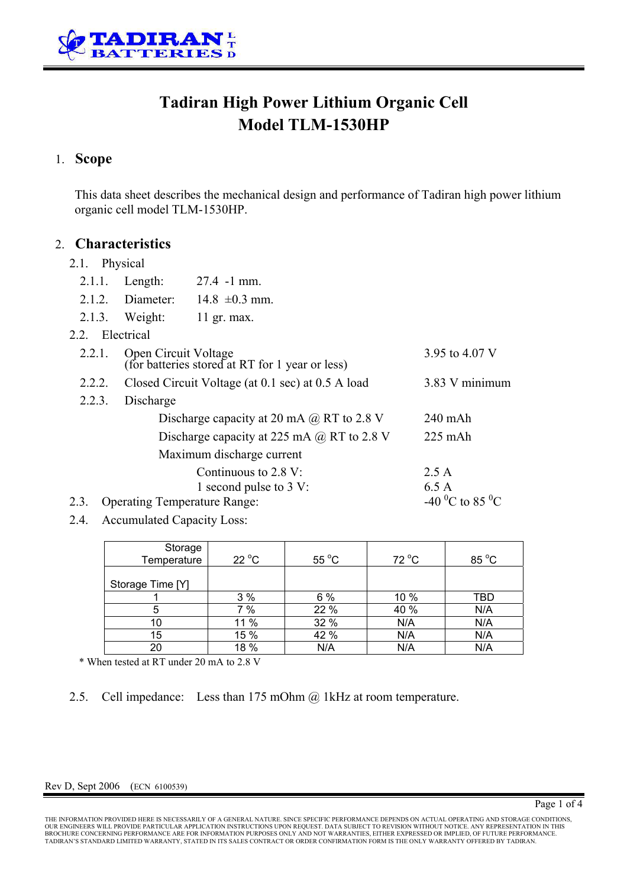

# **Tadiran High Power Lithium Organic Cell Model TLM-1530HP**

### 1. **Scope**

This data sheet describes the mechanical design and performance of Tadiran high power lithium organic cell model TLM-1530HP.

#### 2. **Characteristics**

#### 2.1 Physical

| 2.1.1.                                      | Length:                                                                 | $27.4 - 1$ mm.         |      |  |  |  |  |
|---------------------------------------------|-------------------------------------------------------------------------|------------------------|------|--|--|--|--|
|                                             | $2.1.2.$ Diameter:                                                      | $14.8 \pm 0.3$ mm.     |      |  |  |  |  |
|                                             | $2.1.3.$ Weight:                                                        | 11 gr. max.            |      |  |  |  |  |
| 2.2. Electrical                             |                                                                         |                        |      |  |  |  |  |
| 2.2.1.                                      | Open Circuit Voltage<br>(for batteries stored at RT for 1 year or less) | 3.95 to 4.07 V         |      |  |  |  |  |
| 2.2.2.                                      | Closed Circuit Voltage (at 0.1 sec) at 0.5 A load                       | 3.83 V minimum         |      |  |  |  |  |
| 2.2.3.                                      |                                                                         |                        |      |  |  |  |  |
|                                             | Discharge capacity at 20 mA $\omega$ RT to 2.8 V                        | $240$ mAh              |      |  |  |  |  |
|                                             | Discharge capacity at 225 mA $\omega$ RT to 2.8 V                       | $225$ mAh              |      |  |  |  |  |
| Maximum discharge current                   |                                                                         |                        |      |  |  |  |  |
|                                             | 2.5A                                                                    |                        |      |  |  |  |  |
|                                             |                                                                         | 1 second pulse to 3 V: | 6.5A |  |  |  |  |
| 2.3.<br><b>Operating Temperature Range:</b> | -40 <sup>o</sup> C to 85 <sup>o</sup> C                                 |                        |      |  |  |  |  |

2.4. Accumulated Capacity Loss:

| Storage<br>Temperature | $22^{\circ}$ C | $55^{\circ}$ C | $72^{\circ}$ C | 85 °C |
|------------------------|----------------|----------------|----------------|-------|
| Storage Time [Y]       |                |                |                |       |
|                        | 3%             | 6%             | 10 %           | TBD   |
| 5                      | 7 %            | 22 %           | 40 %           | N/A   |
| 10                     | 11 %           | 32 %           | N/A            | N/A   |
| 15                     | 15 %           | 42 %           | N/A            | N/A   |
| 20                     | 18 %           | N/A            | N/A            | N/A   |

\* When tested at RT under 20 mA to 2.8 V

2.5. Cell impedance: Less than 175 mOhm @ 1kHz at room temperature.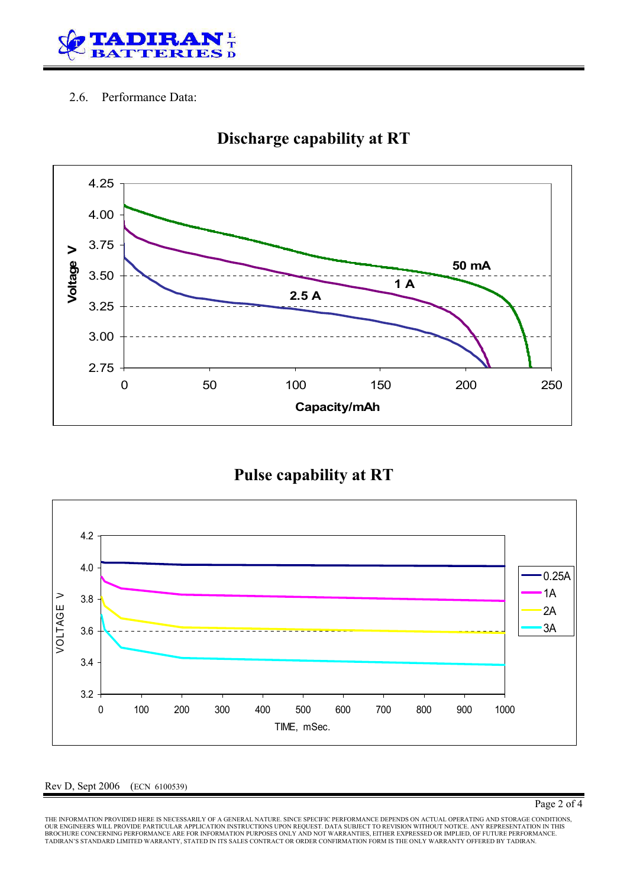

#### 2.6. Performance Data:



# **Discharge capability at RT**

### **Pulse capability at RT**



#### Rev D, Sept 2006 (ECN 6100539)

THE INFORMATION PROVIDED HERE IS NECESSARILY OF A GENERAL NATURE. SINCE SPECIFIC PERFORMANCE DEPENDS ON ACTUAL OPERATING AND STORAGE CONDITIONS,<br>OUR ENGINEERS WILL PROVIDE PARTICULAR APPLICATION INSTRUCTIONS UPON REQUEST. TADIRAN'S STANDARD LIMITED WARRANTY, STATED IN ITS SALES CONTRACT OR ORDER CONFIRMATION FORM IS THE ONLY WARRANTY OFFERED BY TADIRAN.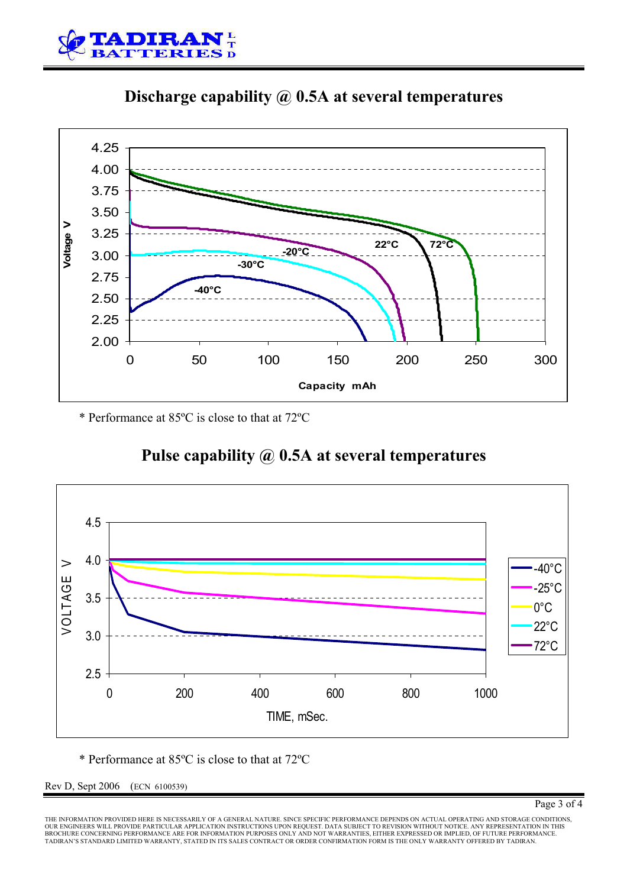





\* Performance at 85ºC is close to that at 72ºC

# **Pulse capability @ 0.5A at several temperatures**



\* Performance at 85ºC is close to that at 72ºC

Rev D, Sept 2006 (ECN 6100539)

THE INFORMATION PROVIDED HERE IS NECESSARILY OF A GENERAL NATURE. SINCE SPECIFIC PERFORMANCE DEPENDS ON ACTUAL OPERATING AND STORAGE CONDITIONS,<br>OUR ENGINEERS WILL PROVIDE PARTICULAR APPLICATION INSTRUCTIONS UPON REQUEST. TADIRAN'S STANDARD LIMITED WARRANTY, STATED IN ITS SALES CONTRACT OR ORDER CONFIRMATION FORM IS THE ONLY WARRANTY OFFERED BY TADIRAN.